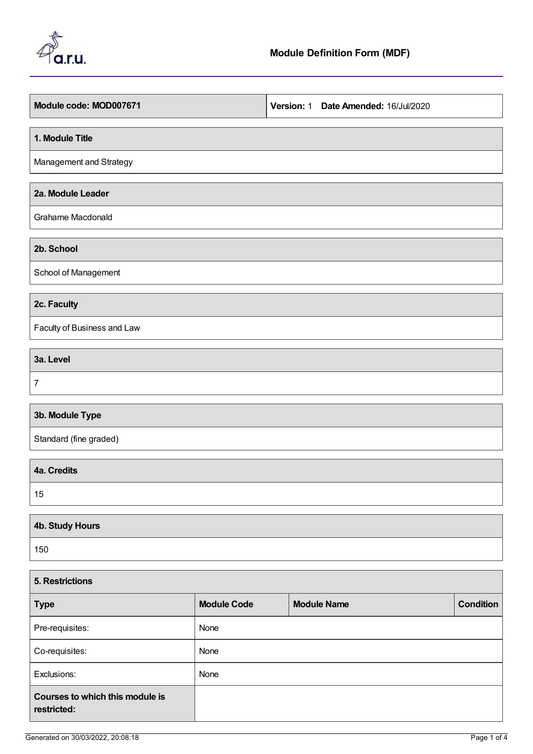

| Module code: MOD007671      | Version: 1 Date Amended: 16/Jul/2020 |
|-----------------------------|--------------------------------------|
| 1. Module Title             |                                      |
| Management and Strategy     |                                      |
| 2a. Module Leader           |                                      |
| Grahame Macdonald           |                                      |
| 2b. School                  |                                      |
| School of Management        |                                      |
| 2c. Faculty                 |                                      |
| Faculty of Business and Law |                                      |
| 3a. Level                   |                                      |
| $\boldsymbol{7}$            |                                      |
| 3b. Module Type             |                                      |
| Standard (fine graded)      |                                      |
| 4a. Credits                 |                                      |
| 15                          |                                      |
| 4b. Study Hours             |                                      |
| 150                         |                                      |
| 5. Restrictions             |                                      |

| <b>Type</b>                                    | <b>Module Code</b> | <b>Module Name</b> | <b>Condition</b> |
|------------------------------------------------|--------------------|--------------------|------------------|
| Pre-requisites:                                | None               |                    |                  |
| Co-requisites:                                 | None               |                    |                  |
| Exclusions:                                    | None               |                    |                  |
| Courses to which this module is<br>restricted: |                    |                    |                  |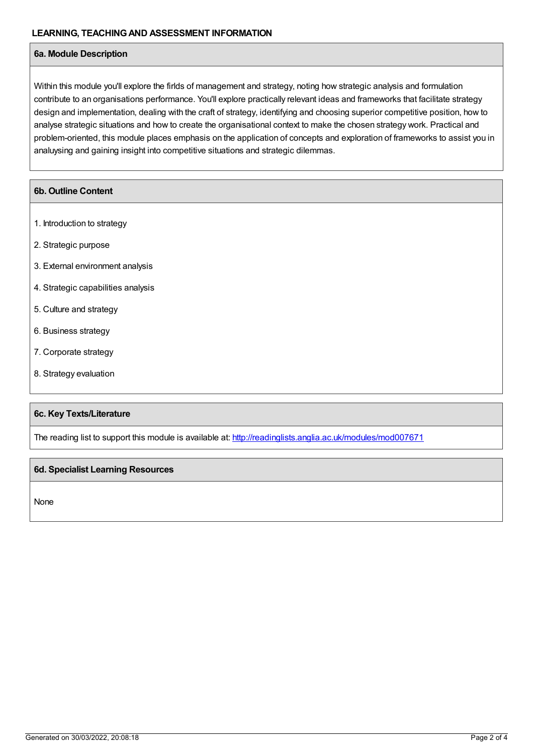## **6a. Module Description**

Within this module you'll explore the firlds of management and strategy, noting how strategic analysis and formulation contribute to an organisations performance. You'll explore practically relevant ideas and frameworks that facilitate strategy design and implementation, dealing with the craft of strategy, identifying and choosing superior competitive position, how to analyse strategic situations and how to create the organisational context to make the chosen strategy work. Practical and problem-oriented, this module places emphasis on the application of concepts and exploration of frameworks to assist you in analuysing and gaining insight into competitive situations and strategic dilemmas.

## **6b. Outline Content**

- 1. Introduction to strategy
- 2. Strategic purpose
- 3. External environment analysis
- 4. Strategic capabilities analysis
- 5. Culture and strategy
- 6. Business strategy
- 7. Corporate strategy
- 8. Strategy evaluation

## **6c. Key Texts/Literature**

The reading list to support this module is available at: <http://readinglists.anglia.ac.uk/modules/mod007671>

## **6d. Specialist Learning Resources**

None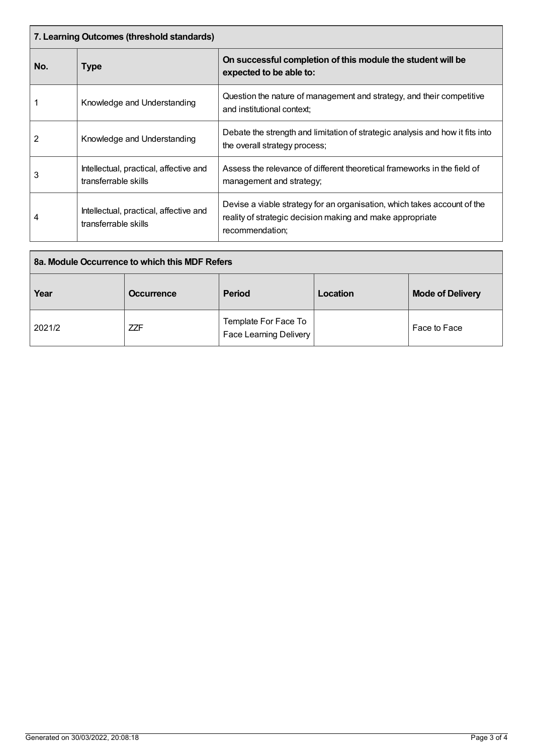| 7. Learning Outcomes (threshold standards) |                                                                |                                                                                                                                                          |  |
|--------------------------------------------|----------------------------------------------------------------|----------------------------------------------------------------------------------------------------------------------------------------------------------|--|
| No.                                        | Type                                                           | On successful completion of this module the student will be<br>expected to be able to:                                                                   |  |
|                                            | Knowledge and Understanding                                    | Question the nature of management and strategy, and their competitive<br>and institutional context;                                                      |  |
| 2                                          | Knowledge and Understanding                                    | Debate the strength and limitation of strategic analysis and how it fits into<br>the overall strategy process;                                           |  |
| 3                                          | Intellectual, practical, affective and<br>transferrable skills | Assess the relevance of different theoretical frameworks in the field of<br>management and strategy;                                                     |  |
| 4                                          | Intellectual, practical, affective and<br>transferrable skills | Devise a viable strategy for an organisation, which takes account of the<br>reality of strategic decision making and make appropriate<br>recommendation; |  |

| 8a. Module Occurrence to which this MDF Refers |                   |                                                       |          |                         |
|------------------------------------------------|-------------------|-------------------------------------------------------|----------|-------------------------|
| Year                                           | <b>Occurrence</b> | <b>Period</b>                                         | Location | <b>Mode of Delivery</b> |
| 2021/2                                         | <b>ZZF</b>        | Template For Face To<br><b>Face Learning Delivery</b> |          | Face to Face            |